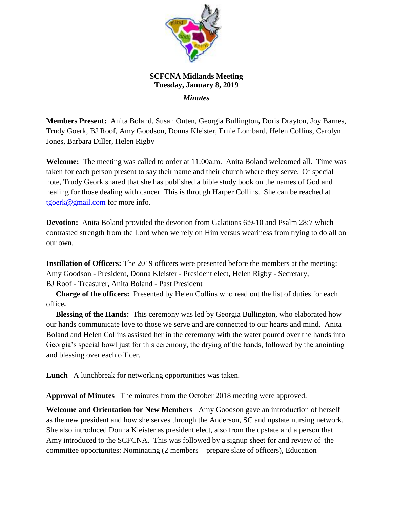

## **SCFCNA Midlands Meeting Tuesday, January 8, 2019**  *Minutes*

**Members Present:** Anita Boland, Susan Outen, Georgia Bullington**,** Doris Drayton, Joy Barnes, Trudy Goerk, BJ Roof, Amy Goodson, Donna Kleister, Ernie Lombard, Helen Collins, Carolyn Jones, Barbara Diller, Helen Rigby

**Welcome:** The meeting was called to order at 11:00a.m. Anita Boland welcomed all. Time was taken for each person present to say their name and their church where they serve. Of special note, Trudy Geork shared that she has published a bible study book on the names of God and healing for those dealing with cancer. This is through Harper Collins. She can be reached at [tgoerk@gmail.com](mailto:tgoerk@gmail.com) for more info.

**Devotion:** Anita Boland provided the devotion from Galations 6:9-10 and Psalm 28:7 which contrasted strength from the Lord when we rely on Him versus weariness from trying to do all on our own.

**Instillation of Officers:** The 2019 officers were presented before the members at the meeting: Amy Goodson - President, Donna Kleister - President elect, Helen Rigby - Secretary, BJ Roof - Treasurer, Anita Boland - Past President

 **Charge of the officers:** Presented by Helen Collins who read out the list of duties for each office**.** 

 **Blessing of the Hands:** This ceremony was led by Georgia Bullington, who elaborated how our hands communicate love to those we serve and are connected to our hearts and mind. Anita Boland and Helen Collins assisted her in the ceremony with the water poured over the hands into Georgia's special bowl just for this ceremony, the drying of the hands, followed by the anointing and blessing over each officer.

**Lunch** A lunchbreak for networking opportunities was taken.

**Approval of Minutes** The minutes from the October 2018 meeting were approved.

**Welcome and Orientation for New Members** Amy Goodson gave an introduction of herself as the new president and how she serves through the Anderson, SC and upstate nursing network. She also introduced Donna Kleister as president elect, also from the upstate and a person that Amy introduced to the SCFCNA. This was followed by a signup sheet for and review of the committee opportunites: Nominating (2 members – prepare slate of officers), Education –